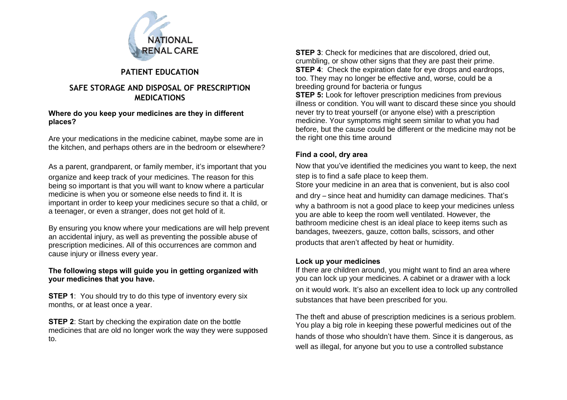

# **PATIENT EDUCATION**

## **SAFE STORAGE AND DISPOSAL OF PRESCRIPTION MEDICATIONS**

#### **Where do you keep your medicines are they in different places?**

Are your medications in the medicine cabinet, maybe some are in the kitchen, and perhaps others are in the bedroom or elsewhere?

As a parent, grandparent, or family member, it's important that you organize and keep track of your medicines. The reason for this being so important is that you will want to know where a particular medicine is when you or someone else needs to find it. It is important in order to keep your medicines secure so that a child, or a teenager, or even a stranger, does not get hold of it.

By ensuring you know where your medications are will help prevent an accidental injury, as well as preventing the possible abuse of prescription medicines. All of this occurrences are common and cause injury or illness every year.

### **The following steps will guide you in getting organized with your medicines that you have.**

**STEP 1**: You should try to do this type of inventory every six months, or at least once a year.

**STEP 2**: Start by checking the expiration date on the bottle medicines that are old no longer work the way they were supposed to.

**STEP 3**: Check for medicines that are discolored, dried out, crumbling, or show other signs that they are past their prime. **STEP 4**: Check the expiration date for eye drops and eardrops, too. They may no longer be effective and, worse, could be a breeding ground for bacteria or fungus **STEP 5:** Look for leftover prescription medicines from previous illness or condition. You will want to discard these since you should never try to treat yourself (or anyone else) with a prescription medicine. Your symptoms might seem similar to what you had before, but the cause could be different or the medicine may not be the right one this time around

## **Find a cool, dry area**

Now that you've identified the medicines you want to keep, the next step is to find a safe place to keep them.

Store your medicine in an area that is convenient, but is also cool and dry – since heat and humidity can damage medicines. That's why a bathroom is not a good place to keep your medicines unless you are able to keep the room well ventilated. However, the bathroom medicine chest is an ideal place to keep items such as bandages, tweezers, gauze, cotton balls, scissors, and other products that aren't affected by heat or humidity.

### **Lock up your medicines**

If there are children around, you might want to find an area where you can lock up your medicines. A cabinet or a drawer with a lock on it would work. It's also an excellent idea to lock up any controlled substances that have been prescribed for you.

The theft and abuse of prescription medicines is a serious problem. You play a big role in keeping these powerful medicines out of the hands of those who shouldn't have them. Since it is dangerous, as well as illegal, for anyone but you to use a controlled substance